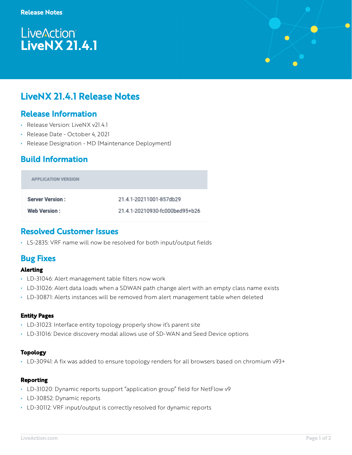# **LiveAction®** LiveNX 21.4.1



## Release Information

- Release Version: LiveNX v21.4.1
- Release Date October 4, 2021
- Release Designation MD (Maintenance Deployment)

# Build Information

| <b>APPLICATION VERSION</b> |                                |
|----------------------------|--------------------------------|
| <b>Server Version:</b>     | 21.4.1-20211001-857db29        |
| <b>Web Version:</b>        | 21.4.1-20210930-fc000bed95+b26 |

### Resolved Customer Issues

• LS-2835: VRF name will now be resolved for both input/output fields

## Bug Fixes

#### **Alerting**

- LD-31046: Alert management table filters now work
- LD-31026: Alert data loads when a SDWAN path change alert with an empty class name exists
- LD-30871: Alerts instances will be removed from alert management table when deleted

#### **Entity Pages**

- LD-31023: Interface entity topology properly show it's parent site
- LD-31016: Device discovery modal allows use of SD-WAN and Seed Device options

#### **Topology**

• LD-30941: A fix was added to ensure topology renders for all browsers based on chromium v93+

#### **Reporting**

- LD-31020: Dynamic reports support "application group" field for NetFlow v9
- LD-30852: Dynamic reports
- LD-30112: VRF input/output is correctly resolved for dynamic reports